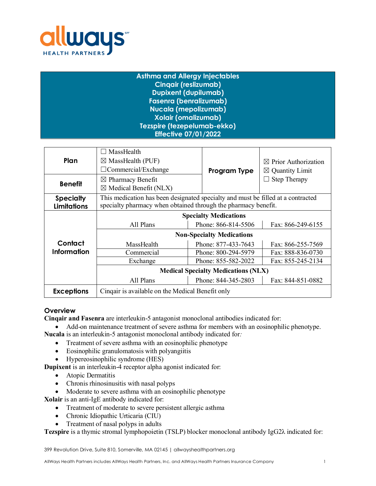

| <b>Asthma and Allergy Injectables</b> |  |
|---------------------------------------|--|
| <b>Cingair (reslizumab)</b>           |  |
| <b>Dupixent (dupilumab)</b>           |  |
| <b>Fasenra (benralizumab)</b>         |  |
| <b>Nucala (mepolizumab)</b>           |  |
| <b>Xolair (omalizumab)</b>            |  |
| Tezspire (tezepelumab-ekko)           |  |
| <b>Effective 07/01/2022</b>           |  |
|                                       |  |

| Plan                                   | MassHealth<br>$\Box$<br>$\boxtimes$ MassHealth (PUF)<br>$\Box$ Commercial/Exchange                                                                 | <b>Program Type</b> | $\boxtimes$ Prior Authorization<br>$\boxtimes$ Quantity Limit |  |  |  |
|----------------------------------------|----------------------------------------------------------------------------------------------------------------------------------------------------|---------------------|---------------------------------------------------------------|--|--|--|
| <b>Benefit</b>                         | $\boxtimes$ Pharmacy Benefit<br>$\boxtimes$ Medical Benefit (NLX)                                                                                  |                     | <b>Step Therapy</b>                                           |  |  |  |
| <b>Specialty</b><br><b>Limitations</b> | This medication has been designated specialty and must be filled at a contracted<br>specialty pharmacy when obtained through the pharmacy benefit. |                     |                                                               |  |  |  |
|                                        | <b>Specialty Medications</b>                                                                                                                       |                     |                                                               |  |  |  |
|                                        | All Plans                                                                                                                                          | Phone: 866-814-5506 | Fax: 866-249-6155                                             |  |  |  |
|                                        | <b>Non-Specialty Medications</b>                                                                                                                   |                     |                                                               |  |  |  |
| Contact                                | MassHealth                                                                                                                                         | Phone: 877-433-7643 | Fax: 866-255-7569                                             |  |  |  |
| Information                            | Commercial                                                                                                                                         | Phone: 800-294-5979 | Fax: 888-836-0730                                             |  |  |  |
|                                        | Exchange                                                                                                                                           | Phone: 855-582-2022 | Fax: 855-245-2134                                             |  |  |  |
|                                        | <b>Medical Specialty Medications (NLX)</b>                                                                                                         |                     |                                                               |  |  |  |
|                                        | All Plans                                                                                                                                          | Phone: 844-345-2803 | Fax: 844-851-0882                                             |  |  |  |
| <b>Exceptions</b>                      | Cinquir is available on the Medical Benefit only                                                                                                   |                     |                                                               |  |  |  |

# **Overview**

**Cinqair and Fasenra** are interleukin-5 antagonist monoclonal antibodies indicated for:

- Add-on maintenance treatment of severe asthma for members with an eosinophilic phenotype. **Nucala** is an interleukin-5 antagonist monoclonal antibody indicated for*:*
	- Treatment of severe asthma with an eosinophilic phenotype
	- Eosinophilic granulomatosis with polyangiitis
	- Hypereosinophilic syndrome (HES)

**Dupixent** is an interleukin-4 receptor alpha agonist indicated for:

- Atopic Dermatitis
- Chronis rhinosinusitis with nasal polyps
- Moderate to severe asthma with an eosinophilic phenotype

**Xolair** is an anti-IgE antibody indicated for:

- Treatment of moderate to severe persistent allergic asthma
- Chronic Idiopathic Urticaria (CIU)
- Treatment of nasal polyps in adults

**Tezspire** is a thymic stromal lymphopoietin (TSLP) blocker monoclonal antibody IgG2λ indicated for: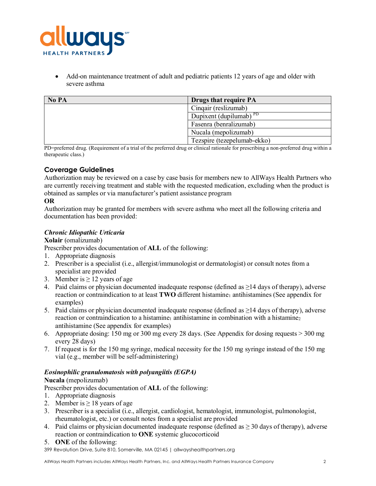

• Add-on maintenance treatment of adult and pediatric patients 12 years of age and older with severe asthma

| No PA | Drugs that require PA       |
|-------|-----------------------------|
|       | Cinqair (reslizumab)        |
|       | Dupixent (dupilumab) $PPD$  |
|       | Fasenra (benralizumab)      |
|       | Nucala (mepolizumab)        |
|       | Tezspire (tezepelumab-ekko) |

PD=preferred drug. (Requirement of a trial of the preferred drug or clinical rationale for prescribing a non-preferred drug within a therapeutic class.)

# **Coverage Guidelines**

Authorization may be reviewed on a case by case basis for members new to AllWays Health Partners who are currently receiving treatment and stable with the requested medication, excluding when the product is obtained as samples or via manufacturer's patient assistance program

## **OR**

Authorization may be granted for members with severe asthma who meet all the following criteria and documentation has been provided:

## *Chronic Idiopathic Urticaria*

#### **Xolair** (omalizumab)

Prescriber provides documentation of **ALL** of the following:

- 1. Appropriate diagnosis
- 2. Prescriber is a specialist (i.e., allergist/immunologist or dermatologist) or consult notes from a specialist are provided
- 3. Member is  $\geq$  12 years of age
- 4. Paid claims or physician documented inadequate response (defined as ≥14 days of therapy), adverse reaction or contraindication to at least **TWO** different histamine<sub>1</sub> antihistamines (See appendix for examples)
- 5. Paid claims or physician documented inadequate response (defined as ≥14 days of therapy), adverse reaction or contraindication to a histamine<sub>1</sub> antihistamine in combination with a histamine<sub>2</sub> antihistamine (See appendix for examples)
- 6. Appropriate dosing: 150 mg or 300 mg every 28 days. (See Appendix for dosing requests > 300 mg every 28 days)
- 7. If request is for the 150 mg syringe, medical necessity for the 150 mg syringe instead of the 150 mg vial (e.g., member will be self-administering)

#### *Eosinophilic granulomatosis with polyangiitis (EGPA)*

#### **Nucala** (mepolizumab)

Prescriber provides documentation of **ALL** of the following:

- 1. Appropriate diagnosis
- 2. Member is  $> 18$  years of age
- 3. Prescriber is a specialist (i.e., allergist, cardiologist, hematologist, immunologist, pulmonologist, rheumatologist, etc.) or consult notes from a specialist are provided
- 4. Paid claims or physician documented inadequate response (defined as  $\geq$  30 days of therapy), adverse reaction or contraindication to **ONE** systemic glucocorticoid
- 5. **ONE** of the following: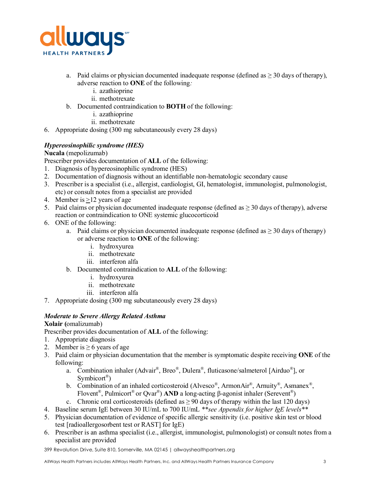

- a. Paid claims or physician documented inadequate response (defined as  $\geq 30$  days of therapy), adverse reaction to **ONE** of the following*:*
	- i. azathioprine
	- ii. methotrexate
- b. Documented contraindication to **BOTH** of the following:
	- i. azathioprine
	- ii. methotrexate
- 6. Appropriate dosing (300 mg subcutaneously every 28 days)

# *Hypereosinophilic syndrome (HES)*

#### **Nucala** (mepolizumab)

Prescriber provides documentation of **ALL** of the following:

- 1. Diagnosis of hypereosinophilic syndrome (HES)
- 2. Documentation of diagnosis without an identifiable non-hematologic secondary cause
- 3. Prescriber is a specialist (i.e., allergist, cardiologist, GI, hematologist, immunologist, pulmonologist, etc) or consult notes from a specialist are provided
- 4. Member is >12 years of age
- 5. Paid claims or physician documented inadequate response (defined as  $\geq$  30 days of therapy), adverse reaction or contraindication to ONE systemic glucocorticoid
- 6. ONE of the following:
	- a. Paid claims or physician documented inadequate response (defined as  $\geq$  30 days of therapy) or adverse reaction to **ONE** of the following:
		- i. hydroxyurea
		- ii. methotrexate
		- iii. interferon alfa
	- b. Documented contraindication to **ALL** of the following:
		- i. hydroxyurea
		- ii. methotrexate
		- iii. interferon alfa
- 7. Appropriate dosing (300 mg subcutaneously every 28 days)

# *Moderate to Severe Allergy Related Asthma*

# **Xolair (**omalizumab)

Prescriber provides documentation of **ALL** of the following:

- 1. Appropriate diagnosis
- 2. Member is  $\geq 6$  years of age
- 3. Paid claim or physician documentation that the member is symptomatic despite receiving **ONE** of the following:
	- a. Combination inhaler (Advair®, Breo®, Dulera®, fluticasone/salmeterol [Airduo®], or Symbicort<sup>®</sup>)
	- b. Combination of an inhaled corticosteroid (Alvesco®, ArmonAir®, Arnuity®, Asmanex®, Flovent®, Pulmicort® or Qvar®) **AND** a long-acting β-agonist inhaler (Serevent®)
	- c. Chronic oral corticosteroids (defined as  $\geq 90$  days of therapy within the last 120 days)
- 4. Baseline serum IgE between 30 IU/mL to 700 IU/mL *\*\*see Appendix for higher IgE levels\*\**
- 5. Physician documentation of evidence of specific allergic sensitivity (i.e. positive skin test or blood test [radioallergosorbent test or RAST] for IgE)
- 6. Prescriber is an asthma specialist (i.e., allergist, immunologist, pulmonologist) or consult notes from a specialist are provided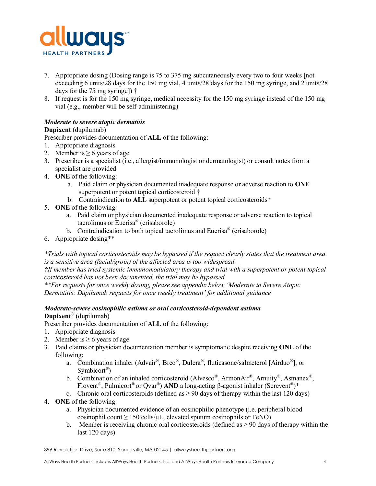

- 7. Appropriate dosing (Dosing range is 75 to 375 mg subcutaneously every two to four weeks [not exceeding 6 units/28 days for the 150 mg vial, 4 units/28 days for the 150 mg syringe, and 2 units/28 days for the 75 mg syringe]) †
- 8. If request is for the 150 mg syringe, medical necessity for the 150 mg syringe instead of the 150 mg vial (e.g., member will be self-administering)

# *Moderate to severe atopic dermatitis*

# **Dupixent** (dupilumab)

Prescriber provides documentation of **ALL** of the following:

- 1. Appropriate diagnosis
- 2. Member is  $\geq 6$  years of age
- 3. Prescriber is a specialist (i.e., allergist/immunologist or dermatologist) or consult notes from a specialist are provided
- 4. **ONE** of the following:
	- a. Paid claim or physician documented inadequate response or adverse reaction to **ONE** superpotent or potent topical corticosteroid †
	- b. Contraindication to **ALL** superpotent or potent topical corticosteroids\*
- 5. **ONE** of the following:
	- a. Paid claim or physician documented inadequate response or adverse reaction to topical tacrolimus or Eucrisa® (crisaborole)
	- b. Contraindication to both topical tacrolimus and Eucrisa<sup>®</sup> (crisaborole)
- 6. Appropriate dosing\*\*

*\*Trials with topical corticosteroids may be bypassed if the request clearly states that the treatment area is a sensitive area (facial/groin) of the affected area is too widespread*

*†If member has tried systemic immunomodulatory therapy and trial with a superpotent or potent topical corticosteroid has not been documented, the trial may be bypassed*

*\*\*For requests for once weekly dosing, please see appendix below 'Moderate to Severe Atopic Dermatitis: Dupilumab requests for once weekly treatment' for additional guidance*

# *Moderate-severe eosinophilic asthma or oral corticosteroid-dependent asthma* **Dupixent**® (dupilumab)

Prescriber provides documentation of **ALL** of the following:

- 1. Appropriate diagnosis
- 2. Member is  $\geq 6$  years of age
- 3. Paid claims or physician documentation member is symptomatic despite receiving **ONE** of the following:
	- a. Combination inhaler (Advair®, Breo®, Dulera®, fluticasone/salmeterol [Airduo®], or Symbicort<sup>®</sup>)
	- b. Combination of an inhaled corticosteroid (Alvesco®, ArmonAir®, Arnuity®, Asmanex®, Flovent®, Pulmicort® or Qvar®) **AND** a long-acting β-agonist inhaler (Serevent®)\*
	- c. Chronic oral corticosteroids (defined as  $\geq$  90 days of therapy within the last 120 days)
- 4. **ONE** of the following:
	- a. Physician documented evidence of an eosinophilic phenotype (i.e. peripheral blood eosinophil count  $\geq 150$  cells/ $\mu$ L, elevated sputum eosinophils or FeNO)
	- b. Member is receiving chronic oral corticosteroids (defined as  $\geq$  90 days of therapy within the last 120 days)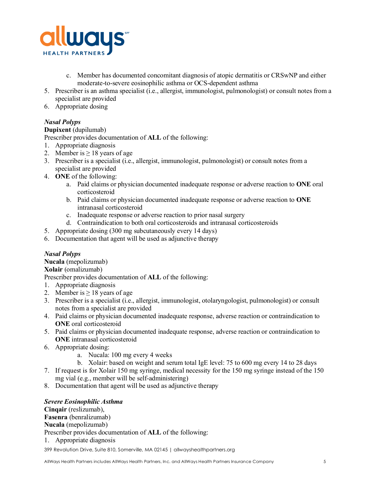

- c. Member has documented concomitant diagnosis of atopic dermatitis or CRSwNP and either moderate-to-severe eosinophilic asthma or OCS-dependent asthma
- 5. Prescriber is an asthma specialist (i.e., allergist, immunologist, pulmonologist) or consult notes from a specialist are provided
- 6. Appropriate dosing

# *Nasal Polyps*

## **Dupixent** (dupilumab)

Prescriber provides documentation of **ALL** of the following:

- 1. Appropriate diagnosis
- 2. Member is  $\geq 18$  years of age
- 3. Prescriber is a specialist (i.e., allergist, immunologist, pulmonologist) or consult notes from a specialist are provided
- 4. **ONE** of the following:
	- a. Paid claims or physician documented inadequate response or adverse reaction to **ONE** oral corticosteroid
	- b. Paid claims or physician documented inadequate response or adverse reaction to **ONE** intranasal corticosteroid
	- c. Inadequate response or adverse reaction to prior nasal surgery
	- d. Contraindication to both oral corticosteroids and intranasal corticosteroids
- 5. Appropriate dosing (300 mg subcutaneously every 14 days)
- 6. Documentation that agent will be used as adjunctive therapy

# *Nasal Polyps*

**Nucala** (mepolizumab)

# **Xolair** (omalizumab)

Prescriber provides documentation of **ALL** of the following:

- 1. Appropriate diagnosis
- 2. Member is  $\geq 18$  years of age
- 3. Prescriber is a specialist (i.e., allergist, immunologist, otolaryngologist, pulmonologist) or consult notes from a specialist are provided
- 4. Paid claims or physician documented inadequate response, adverse reaction or contraindication to **ONE** oral corticosteroid
- 5. Paid claims or physician documented inadequate response, adverse reaction or contraindication to **ONE** intranasal corticosteroid
- 6. Appropriate dosing:
	- a. Nucala: 100 mg every 4 weeks
	- b. Xolair: based on weight and serum total IgE level: 75 to 600 mg every 14 to 28 days
- 7. If request is for Xolair 150 mg syringe, medical necessity for the 150 mg syringe instead of the 150 mg vial (e.g., member will be self-administering)
- 8. Documentation that agent will be used as adjunctive therapy

#### *Severe Eosinophilic Asthma*

**Cinqair** (reslizumab), **Fasenra** (benralizumab) **Nucala** (mepolizumab) Prescriber provides documentation of **ALL** of the following: 1. Appropriate diagnosis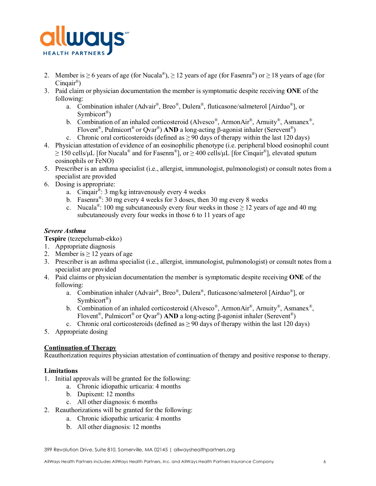

- 2. Member is  $\geq 6$  years of age (for Nucala®),  $\geq 12$  years of age (for Fasenra®) or  $\geq 18$  years of age (for  $Cingair^{\circledR})$
- 3. Paid claim or physician documentation the member is symptomatic despite receiving **ONE** of the following:
	- a. Combination inhaler (Advair®, Breo®, Dulera®, fluticasone/salmeterol [Airduo®], or Symbicort<sup>®</sup>)
	- b. Combination of an inhaled corticosteroid (Alvesco®, ArmonAir®, Arnuity®, Asmanex®, Flovent®, Pulmicort® or Qvar®) **AND** a long-acting β-agonist inhaler (Serevent®)
	- c. Chronic oral corticosteroids (defined as  $\geq$  90 days of therapy within the last 120 days)
- 4. Physician attestation of evidence of an eosinophilic phenotype (i.e. peripheral blood eosinophil count  $\geq 150$  cells/uL [for Nucala<sup>®</sup> and for Fasenra<sup>®</sup>], or  $\geq 400$  cells/uL [for Cingair<sup>®</sup>], elevated sputum eosinophils or FeNO)
- 5. Prescriber is an asthma specialist (i.e., allergist, immunologist, pulmonologist) or consult notes from a specialist are provided
- 6. Dosing is appropriate:
	- a. Cinquar<sup>®</sup>: 3 mg/kg intravenously every 4 weeks
	- b. Fasenra®: 30 mg every 4 weeks for 3 doses, then 30 mg every 8 weeks
	- c. Nucala<sup>®</sup>: 100 mg subcutaneously every four weeks in those  $\geq$  12 years of age and 40 mg subcutaneously every four weeks in those 6 to 11 years of age

## *Severe Asthma*

**Tespire** (tezepelumab-ekko)

- 1. Appropriate diagnosis
- 2. Member is  $\geq$  12 years of age
- 3. Prescriber is an asthma specialist (i.e., allergist, immunologist, pulmonologist) or consult notes from a specialist are provided
- 4. Paid claims or physician documentation the member is symptomatic despite receiving **ONE** of the following:
	- a. Combination inhaler (Advair®, Breo®, Dulera®, fluticasone/salmeterol [Airduo®], or Symbicort<sup>®</sup>)
	- b. Combination of an inhaled corticosteroid (Alvesco®, ArmonAir®, Arnuity®, Asmanex®, Flovent®, Pulmicort® or Qvar®) **AND** a long-acting β-agonist inhaler (Serevent®)

c. Chronic oral corticosteroids (defined as  $\geq$  90 days of therapy within the last 120 days)

5. Appropriate dosing

#### **Continuation of Therapy**

Reauthorization requires physician attestation of continuation of therapy and positive response to therapy.

#### **Limitations**

- 1. Initial approvals will be granted for the following:
	- a. Chronic idiopathic urticaria: 4 months
	- b. Dupixent: 12 months
	- c. All other diagnosis: 6 months
- 2. Reauthorizations will be granted for the following:
	- a. Chronic idiopathic urticaria: 4 months
	- b. All other diagnosis: 12 months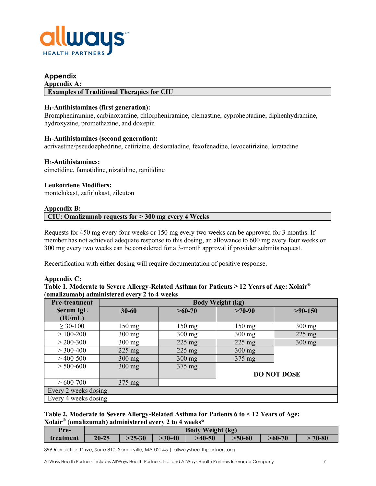

## **Appendix**

#### **Appendix A: Examples of Traditional Therapies for CIU**

### **H1-Antihistamines (first generation):**

Brompheniramine, carbinoxamine, chlorpheniramine, clemastine, cyproheptadine, diphenhydramine, hydroxyzine, promethazine, and doxepin

#### **H1-Antihistamines (second generation):**

acrivastine/pseudoephedrine, cetirizine, desloratadine, fexofenadine, levocetirizine, loratadine

#### **H2-Antihistamines:**

cimetidine, famotidine, nizatidine, ranitidine

#### **Leukotriene Modifiers:**

montelukast, zafirlukast, zileuton

#### **Appendix B:**

**CIU: Omalizumab requests for > 300 mg every 4 Weeks**

Requests for 450 mg every four weeks or 150 mg every two weeks can be approved for 3 months. If member has not achieved adequate response to this dosing, an allowance to 600 mg every four weeks or 300 mg every two weeks can be considered for a 3-month approval if provider submits request.

Recertification with either dosing will require documentation of positive response.

#### **Appendix C:**

**Table 1. Moderate to Severe Allergy-Related Asthma for Patients ≥ 12 Years of Age: Xolair®** (**omalizumab) administered every 2 to 4 weeks**

| <b>Pre-treatment</b> | <b>Body Weight (kg)</b> |                  |                  |                    |  |  |
|----------------------|-------------------------|------------------|------------------|--------------------|--|--|
| <b>Serum IgE</b>     | $30 - 60$               | $>60-70$         |                  | $>90-150$          |  |  |
| (IU/mL)              |                         |                  |                  |                    |  |  |
| $\geq 30 - 100$      | $150 \text{ mg}$        | $150 \text{ mg}$ | $150 \text{ mg}$ | $300$ mg           |  |  |
| $> 100 - 200$        | $300$ mg                | $300$ mg         | $300$ mg         | $225$ mg           |  |  |
| $>$ 200-300          | $300 \text{ mg}$        | $225 \text{ mg}$ | $225 \text{ mg}$ | $300$ mg           |  |  |
| $>$ 300-400          | $225 \text{ mg}$        | $225 \text{ mg}$ | $300$ mg         |                    |  |  |
| $>400-500$           | $300$ mg                | $300$ mg         | $375 \text{ mg}$ |                    |  |  |
| $> 500 - 600$        | $300$ mg                | $375 \text{ mg}$ |                  |                    |  |  |
|                      |                         |                  |                  | <b>DO NOT DOSE</b> |  |  |
| $>600-700$           | $375 \text{ mg}$        |                  |                  |                    |  |  |
| Every 2 weeks dosing |                         |                  |                  |                    |  |  |
| Every 4 weeks dosing |                         |                  |                  |                    |  |  |

### **Table 2. Moderate to Severe Allergy-Related Asthma for Patients 6 to < 12 Years of Age: Xolair®** (**omalizumab) administered every 2 to 4 weeks\***

| Pre-      | <b>Body Weight (kg)</b> |          |            |          |          |          |       |
|-----------|-------------------------|----------|------------|----------|----------|----------|-------|
| treatment | $20 - 25$               | $>25-30$ | $-30 - 40$ | $>40-50$ | $>50-60$ | $>60-70$ | 70-80 |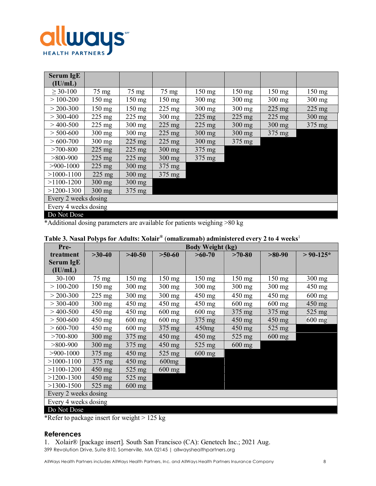

| Serum IgE<br>(IU/mL) |                  |                  |                  |                  |                  |                  |                  |
|----------------------|------------------|------------------|------------------|------------------|------------------|------------------|------------------|
| $\geq 30 - 100$      | $75 \text{ mg}$  | $75 \text{ mg}$  | $75 \text{ mg}$  | $150 \text{ mg}$ | $150 \text{ mg}$ | $150 \text{ mg}$ | $150 \text{ mg}$ |
| $>100-200$           | $150 \text{ mg}$ | $150 \text{ mg}$ | $150$ mg         | $300$ mg         | $300$ mg         | $300$ mg         | $300$ mg         |
| $>$ 200-300          | $150 \text{ mg}$ | $150 \text{ mg}$ | $225 \text{ mg}$ | $300$ mg         | $300 \text{ mg}$ | $225 \text{ mg}$ | $225 \text{ mg}$ |
| $>$ 300-400          | $225 \text{ mg}$ | $225 \text{ mg}$ | $300$ mg         | $225 \text{ mg}$ | $225 \text{ mg}$ | $225 \text{ mg}$ | $300$ mg         |
| $>400-500$           | $225 \text{ mg}$ | $300 \text{ mg}$ | $225 \text{ mg}$ | $225 \text{ mg}$ | $300$ mg         | $300$ mg         | $375 \text{ mg}$ |
| $> 500 - 600$        | $300$ mg         | $300$ mg         | $225 \text{ mg}$ | $300$ mg         | $300$ mg         | $375 \text{ mg}$ |                  |
| $>600-700$           | $300$ mg         | $225 \text{ mg}$ | $225 \text{ mg}$ | $300$ mg         | 375 mg           |                  |                  |
| $>700-800$           | $225 \text{ mg}$ | $225 \text{ mg}$ | $300$ mg         | 375 mg           |                  |                  |                  |
| $>800-900$           | $225 \text{ mg}$ | $225 \text{ mg}$ | $300$ mg         | 375 mg           |                  |                  |                  |
| $>900-1000$          | $225 \text{ mg}$ | $300$ mg         | $375 \text{ mg}$ |                  |                  |                  |                  |
| $>1000 - 1100$       | $225$ mg         | $300$ mg         | $375 \text{ mg}$ |                  |                  |                  |                  |
| $>1100-1200$         | $300$ mg         | $300$ mg         |                  |                  |                  |                  |                  |
| $>1200-1300$         | $300$ mg         | $375 \text{ mg}$ |                  |                  |                  |                  |                  |
| Every 2 weeks dosing |                  |                  |                  |                  |                  |                  |                  |
| Every 4 weeks dosing |                  |                  |                  |                  |                  |                  |                  |
| Do Not Dose          |                  |                  |                  |                  |                  |                  |                  |

\*Additional dosing parameters are available for patients weighing >80 kg

| Pre-                 | <b>Body Weight (kg)</b> |                  |                  |                  |                  |                  |                  |
|----------------------|-------------------------|------------------|------------------|------------------|------------------|------------------|------------------|
| treatment            | $>30-40$                | $>40-50$         | $>50-60$         | $>60-70$         | $>70-80$         | $>80-90$         | $> 90-125*$      |
| Serum IgE            |                         |                  |                  |                  |                  |                  |                  |
| (IU/mL)              |                         |                  |                  |                  |                  |                  |                  |
| 30-100               | 75 mg                   | $150 \text{ mg}$ | $150 \text{ mg}$ | 150 mg           | $150 \text{ mg}$ | $150 \text{ mg}$ | $300 \text{ mg}$ |
| $> 100 - 200$        | $150 \text{ mg}$        | $300$ mg         | $300 \text{ mg}$ | $300 \text{ mg}$ | $300$ mg         | $300 \text{ mg}$ | $450 \text{ mg}$ |
| $> 200 - 300$        | $225$ mg                | $300$ mg         | $300$ mg         | 450 mg           | $450$ mg         | $450 \text{ mg}$ | $600$ mg         |
| $>$ 300-400          | $300 \text{ mg}$        | $450$ mg         | $450$ mg         | $450 \text{ mg}$ | $600 \text{ mg}$ | $600$ mg         | $450$ mg         |
| $>$ 400-500          | 450 mg                  | $450$ mg         | $600 \text{ mg}$ | $600$ mg         | $375 \text{ mg}$ | $375 \text{ mg}$ | $525 \text{ mg}$ |
| $> 500 - 600$        | $450$ mg                | $600$ mg         | $600$ mg         | $375 \text{ mg}$ | $450$ mg         | $450$ mg         | $600$ mg         |
| $>600-700$           | $450$ mg                | $600$ mg         | $375 \text{ mg}$ | 450mg            | $450$ mg         | 525 mg           |                  |
| $>700-800$           | $300$ mg                | $375 \text{ mg}$ | $450$ mg         | $450 \text{ mg}$ | $525 \text{ mg}$ | $600$ mg         |                  |
| $>800-900$           | $300$ mg                | $375 \text{ mg}$ | 450 mg           | $525 \text{ mg}$ | $600$ mg         |                  |                  |
| $>900-1000$          | $375 \text{ mg}$        | $450$ mg         | $525$ mg         | $600$ mg         |                  |                  |                  |
| $>1000 - 1100$       | $375 \text{ mg}$        | $450 \text{ mg}$ | 600mg            |                  |                  |                  |                  |
| $>1100-1200$         | $450$ mg                | $525 \text{ mg}$ | $600$ mg         |                  |                  |                  |                  |
| $>1200-1300$         | $450$ mg                | $525 \text{ mg}$ |                  |                  |                  |                  |                  |
| $>1300-1500$         | $525$ mg                | $600$ mg         |                  |                  |                  |                  |                  |
| Every 2 weeks dosing |                         |                  |                  |                  |                  |                  |                  |
| Every 4 weeks dosing |                         |                  |                  |                  |                  |                  |                  |

# **Table 3. Nasal Polyps for Adults: Xolair®** (**omalizumab) administered every 2 to 4 weeks**<sup>1</sup>

Do Not Dose

\*Refer to package insert for weight > 125 kg

#### **References**

399 Revolution Drive, Suite 810, Somerville, MA 02145 | allwayshealthpartners.org 1. Xolair® [package insert]. South San Francisco (CA): Genetech Inc.; 2021 Aug.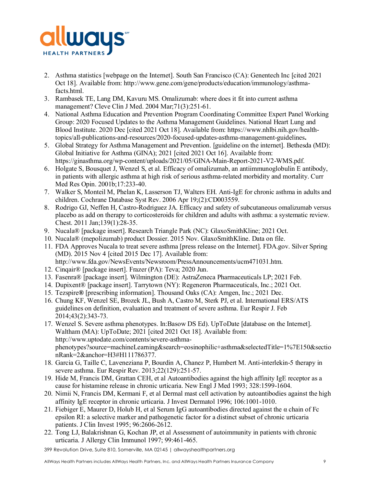

- 2. Asthma statistics [webpage on the Internet]. South San Francisco (CA): Genentech Inc [cited 2021 Oct 18]. Available from: http://www.gene.com/gene/products/education/immunology/asthmafacts.html.
- 3. Rambasek TE, Lang DM, Kavuru MS. Omalizumab: where does it fit into current asthma management? Cleve Clin J Med. 2004 Mar;71(3):251-61.
- 4. National Asthma Education and Prevention Program Coordinating Committee Expert Panel Working Group: 2020 Focused Updates to the Asthma Management Guidelines. National Heart Lung and Blood Institute. 2020 Dec [cited 2021 Oct 18]. Available from: https://www.nhlbi.nih.gov/healthtopics/all-publications-and-resources/2020-focused-updates-asthma-management-guidelines**.**
- 5. Global Strategy for Asthma Management and Prevention. [guideline on the internet]. Bethesda (MD): Global Initiative for Asthma (GINA); 2021 [cited 2021 Oct 16]. Available from: https://ginasthma.org/wp-content/uploads/2021/05/GINA-Main-Report-2021-V2-WMS.pdf.
- 6. Holgate S, Bousquet J, Wenzel S, et al. Efficacy of omalizumab, an antiimmunoglobulin E antibody, in patients with allergic asthma at high risk of serious asthma-related morbidity and mortality. Curr Med Res Opin. 2001b;17:233-40.
- 7. Walker S, Monteil M, Phelan K, Lasserson TJ, Walters EH. Anti-IgE for chronic asthma in adults and children. Cochrane Database Syst Rev. 2006 Apr 19;(2):CD003559.
- 8. Rodrigo GJ, Neffen H, Castro-Rodriguez JA. Efficacy and safety of subcutaneous omalizumab versus placebo as add on therapy to corticosteroids for children and adults with asthma: a systematic review. Chest. 2011 Jan;139(1):28-35.
- 9. Nucala® [package insert]. Research Triangle Park (NC): GlaxoSmithKline; 2021 Oct.
- 10. Nucala® (mepolizumab) product Dossier. 2015 Nov. GlaxoSmithKline. Data on file.
- 11. FDA Approves Nucala to treat severe asthma [press release on the Internet]. FDA.gov. Silver Spring (MD). 2015 Nov 4 [cited 2015 Dec 17]. Available from: http://www.fda.gov/NewsEvents/Newsroom/PressAnnouncements/ucm471031.htm.
- 12. Cinqair® [package insert]. Frazer (PA): Teva; 2020 Jun.
- 13. Fasenra® [package insert]. Wilmington (DE): AstraZeneca Pharmaceuticals LP; 2021 Feb.
- 14. Dupixent® [package insert]. Tarrytown (NY): Regeneron Pharmaceuticals, Inc.; 2021 Oct.
- 15. Tezspire**®** [prescribing information]. Thousand Oaks (CA): Amgen, Inc.; 2021 Dec.
- 16. Chung KF, Wenzel SE, Brozek JL, Bush A, Castro M, Sterk PJ, et al. International ERS/ATS guidelines on definition, evaluation and treatment of severe asthma. Eur Respir J. Feb 2014;43(2):343-73.
- 17. Wenzel S. Severe asthma phenotypes. In:Basow DS Ed). UpToDate [database on the Internet]. Waltham (MA): UpToDate; 2021 [cited 2021 Oct 18]. Available from: http://www.uptodate.com/contents/severe-asthmaphenotypes?source=machineLearning&search=eosinophilic+asthma&selectedTitle=1%7E150&sectio nRank=2&anchor=H3#H111786377.
- 18. Garcia G, Taille C, Laveneziana P, Bourdin A, Chanez P, Humbert M. Anti-interlekin-5 therapy in severe asthma. Eur Respir Rev. 2013;22(129):251-57.
- 19. Hide M, Francis DM, Grattan CEH, et al Autoantibodies against the high affinity IgE receptor as a cause for histamine release in chronic urticaria. New Engl J Med 1993; 328:1599-1604.
- 20. Nimii N, Francis DM, Kermani F, et al Dermal mast cell activation by autoantibodies against the high affinity IgE receptor in chronic urticaria. J Invest Dermatol 1996; 106:1001-1010.
- 21. Fiebiger E, Maurer D, Holub H, et al Serum IgG autoantibodies directed against the  $\alpha$  chain of Fc epsilon RI: a selective marker and pathogenetic factor for a distinct subset of chronic urticaria patients. J Clin Invest 1995; 96:2606-2612.
- 22. Tong LJ, Balakrishnan G, Kochan JP, et al Assessment of autoimmunity in patients with chronic urticaria. J Allergy Clin Immunol 1997; 99:461-465.
- 399 Revolution Drive, Suite 810, Somerville, MA 02145 | allwayshealthpartners.org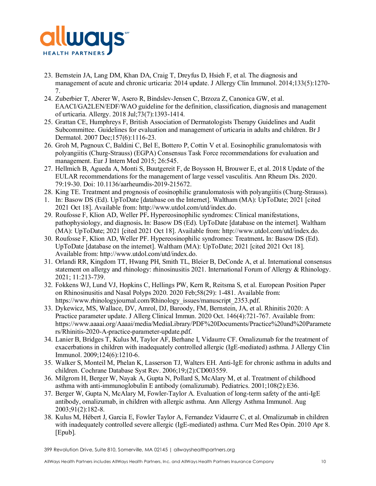

- 23. Bernstein JA, Lang DM, Khan DA, Craig T, Dreyfus D, Hsieh F, et al. The diagnosis and management of acute and chronic urticaria: 2014 update. J Allergy Clin Immunol. 2014;133(5):1270- 7.
- 24. Zuberbier T, Aberer W, Asero R, Bindslev-Jensen C, Brzoza Z, Canonica GW, et al. EAACI/GA2LEN/EDF/WAO guideline for the definition, classification, diagnosis and management of urticaria. Allergy. 2018 Jul;73(7):1393-1414.
- 25. Grattan CE, Humphreys F, British Association of Dermatologists Therapy Guidelines and Audit Subcommittee. Guidelines for evaluation and management of urticaria in adults and children. Br J Dermatol. 2007 Dec;157(6):1116-23.
- 26. Groh M, Pagnoux C, Baldini C, Bel E, Bottero P, Cottin V et al. Eosinophilic granulomatosis with polyangiitis (Churg-Strauss) (EGPA) Consensus Task Force recommendations for evaluation and management. Eur J Intern Med 2015; 26:545.
- 27. Hellmich B, Agueda A, Monti S, Buutgereit F, de Boysson H, Brouwer E, et al. 2018 Update of the EULAR recommendations for the management of large vessel vasculitis. Ann Rheum Dis. 2020. 79:19-30. Doi: 10.1136/aarheumdis-2019-215672.
- 28. King TE. Treatment and prognosis of eosinophilic granulomatosis with polyangiitis (Churg-Strauss).
- 1. In: Basow DS (Ed). UpToDate [database on the Internet]. Waltham (MA): UpToDate; 2021 [cited 2021 Oct 18]. Available from: http://www.utdol.com/utd/index.do.
- 29. Roufosse F, Klion AD, Weller PF**.** Hypereosinophilic syndromes: Clinical manifestations, pathophysiology, and diagnosis**.** In: Basow DS (Ed). UpToDate [database on the internet]. Waltham (MA): UpToDate; 2021 [cited 2021 Oct 18]. Available from: http://www.utdol.com/utd/index.do.
- 30. Roufosse F, Klion AD, Weller PF. Hypereosinophilic syndromes: Treatment**.** In: Basow DS (Ed). UpToDate [database on the internet]. Waltham (MA): UpToDate; 2021 [cited 2021 Oct 18]. Available from: http://www.utdol.com/utd/index.do.
- 31. Orlandi RR, Kingdom TT, Hwang PH, Smith TL, Bleier B, DeConde A, et al. International consensus statement on allergy and rhinology: rhinosinusitis 2021. International Forum of Allergy & Rhinology. 2021; 11:213-739.
- 32. Fokkens WJ, Lund VJ, Hopkins C, Hellings PW, Kern R, Reitsma S, et al. European Position Paper on Rhinosinusitis and Nasal Polyps 2020. 2020 Feb;58(29): 1-481. Available from: https://www.rhinologyjournal.com/Rhinology\_issues/manuscript\_2353.pdf.
- 33. Dykewicz, MS, Wallace, DV, Amrol, DJ, Baroody, FM, Bernstein, JA, et al. Rhinitis 2020: A Practice parameter update. J Allerg Clinical Immun. 2020 Oct. 146(4):721-767. Available from: https://www.aaaai.org/Aaaai/media/MediaLibrary/PDF%20Documents/Practice%20and%20Paramete rs/Rhinitis-2020-A-practice-parameter-update.pdf.
- 34. Lanier B, Bridges T, Kulus M, Taylor AF, Berhane I, Vidaurre CF. Omalizumab for the treatment of exacerbations in children with inadequately controlled allergic (IgE-mediated) asthma. J Allergy Clin Immunol. 2009;124(6):1210-6.
- 35. Walker S, Monteil M, Phelan K, Lasserson TJ, Walters EH. Anti-IgE for chronic asthma in adults and children. Cochrane Database Syst Rev. 2006;19;(2):CD003559.
- 36. Milgrom H, Berger W, Nayak A, Gupta N, Pollard S, McAlary M, et al. Treatment of childhood asthma with anti-immunoglobulin E antibody (omalizumab). Pediatrics. 2001;108(2):E36.
- 37. Berger W, Gupta N, McAlary M, Fowler-Taylor A. Evaluation of long-term safety of the anti-IgE antibody, omalizumab, in children with allergic asthma. Ann Allergy Asthma Immunol. Aug 2003;91(2):182-8.
- 38. Kulus M, Hébert J, Garcia E, Fowler Taylor A, Fernandez Vidaurre C, et al. Omalizumab in children with inadequately controlled severe allergic (IgE-mediated) asthma. Curr Med Res Opin. 2010 Apr 8. [Epub].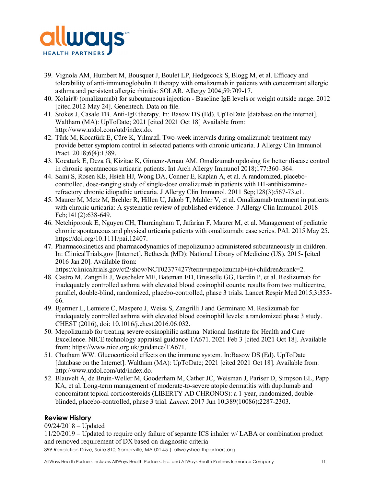

- 39. Vignola AM, Humbert M, Bousquet J, Boulet LP, Hedgecock S, Blogg M, et al. Efficacy and tolerability of anti-immunoglobulin E therapy with omalizumab in patients with concomitant allergic asthma and persistent allergic rhinitis: SOLAR. Allergy 2004;59:709-17.
- 40. Xolair® (omalizumab) for subcutaneous injection Baseline IgE levels or weight outside range. 2012 [cited 2012 May 24]. Genentech. Data on file.
- 41. Stokes J, Casale TB. Anti-IgE therapy. In: Basow DS (Ed). UpToDate [database on the internet]. Waltham (MA): UpToDate; 2021 [cited 2021 Oct 18] Available from: http://www.utdol.com/utd/index.do.
- 42. Türk M, Kocatürk E, Cüre K, Yılmazİ. Two-week intervals during omalizumab treatment may provide better symptom control in selected patients with chronic urticaria. J Allergy Clin Immunol Pract. 2018;6(4):1389.
- 43. Kocaturk E, Deza G, Kizitac K, Gimenz-Arnau AM. Omalizumab updosing for better disease control in chronic spontaneous urticaria patients. Int Arch Allergy Immunol 2018;177:360–364.
- 44. Saini S, Rosen KE, Hsieh HJ, Wong DA, Conner E, Kaplan A, et al. A randomized, placebocontrolled, dose-ranging study of single-dose omalizumab in patients with H1-antihistaminerefractory chronic idiopathic urticaria. J Allergy Clin Immunol. 2011 Sep;128(3):567-73.e1.
- 45. Maurer M, Metz M, Brehler R, Hillen U, Jakob T, Mahler V, et al. Omalizumab treatment in patients with chronic urticaria: A systematic review of published evidence. J Allergy Clin Immunol. 2018 Feb;141(2):638-649.
- 46. Netchiporouk E, Nguyen CH, Thuraingham T, Jafarian F, Maurer M, et al. Management of pediatric chronic spontaneous and physical urticaria patients with omalizumab: case series. PAI. 2015 May 25. https://doi.org/10.1111/pai.12407.
- 47. Pharmacokinetics and pharmacodynamics of mepolizumab administered subcutaneously in children. In: ClinicalTrials.gov [Internet]. Bethesda (MD): National Library of Medicine (US). 2015- [cited 2016 Jan 20]. Available from:

https://clinicaltrials.gov/ct2/show/NCT02377427?term=mepolizumab+in+children&rank=2.

- 48. Castro M, Zangrilli J, Weschsler ME, Bateman ED, Brusselle GG, Bardin P, et al. Reslizumab for inadequately controlled asthma with elevated blood eosinophil counts: results from two multicentre, parallel, double-blind, randomized, placebo-controlled, phase 3 trials. Lancet Respir Med 2015;3:355- 66.
- 49. Bjermer L, Lemiere C, Maspero J, Weiss S, Zangrilli J and Germinaro M. Reslizumab for inadequately controlled asthma with elevated blood eosinophil levels: a randomized phase 3 study. CHEST (2016), doi: 10.1016/j.chest.2016.06.032.
- 50. Mepolizumab for treating severe eosinophilic asthma. National Institute for Health and Care Excellence. NICE technology appraisal guidance TA671. 2021 Feb 3 [cited 2021 Oct 18]. Available from: https://www.nice.org.uk/guidance/TA671.
- 51. Chatham WW. Glucocorticoid effects on the immune system. In:Basow DS (Ed). UpToDate [database on the Internet]. Waltham (MA): UpToDate; 2021 [cited 2021 Oct 18]. Available from: http://www.utdol.com/utd/index.do.
- 52. Blauvelt A, de Bruin-Weller M, Gooderham M, Cather JC, Weisman J, Pariser D, Simpson EL, Papp KA, et al. Long-term management of moderate-to-severe atopic dermatitis with dupilumab and concomitant topical corticosteroids (LIBERTY AD CHRONOS): a 1-year, randomized, doubleblinded, placebo-controlled, phase 3 trial. *Lancet*. 2017 Jun 10;389(10086):2287-2303.

# **Review History**

09/24/2018 – Updated

11/20/2019 – Updated to require only failure of separate ICS inhaler w/ LABA or combination product and removed requirement of DX based on diagnostic criteria